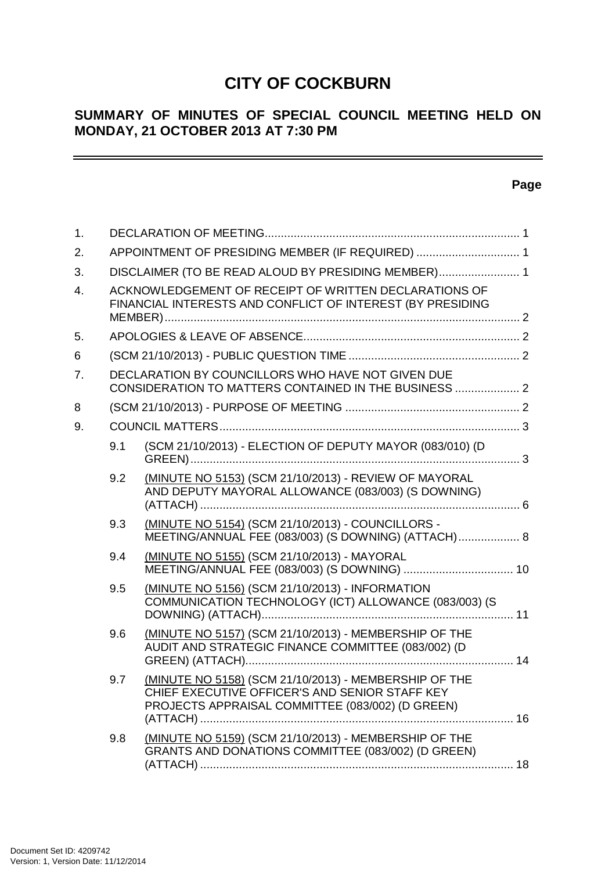# **CITY OF COCKBURN**

# **SUMMARY OF MINUTES OF SPECIAL COUNCIL MEETING HELD ON MONDAY, 21 OCTOBER 2013 AT 7:30 PM**

# **Page**

 $\overline{\phantom{0}}$ 

| 1. |                                                                                                                     |                                                                                                                                                             |  |  |  |
|----|---------------------------------------------------------------------------------------------------------------------|-------------------------------------------------------------------------------------------------------------------------------------------------------------|--|--|--|
| 2. | APPOINTMENT OF PRESIDING MEMBER (IF REQUIRED)  1                                                                    |                                                                                                                                                             |  |  |  |
| 3. | DISCLAIMER (TO BE READ ALOUD BY PRESIDING MEMBER) 1                                                                 |                                                                                                                                                             |  |  |  |
| 4. | ACKNOWLEDGEMENT OF RECEIPT OF WRITTEN DECLARATIONS OF<br>FINANCIAL INTERESTS AND CONFLICT OF INTEREST (BY PRESIDING |                                                                                                                                                             |  |  |  |
| 5. |                                                                                                                     |                                                                                                                                                             |  |  |  |
| 6  |                                                                                                                     |                                                                                                                                                             |  |  |  |
| 7. | DECLARATION BY COUNCILLORS WHO HAVE NOT GIVEN DUE<br>CONSIDERATION TO MATTERS CONTAINED IN THE BUSINESS  2          |                                                                                                                                                             |  |  |  |
| 8  |                                                                                                                     |                                                                                                                                                             |  |  |  |
| 9. |                                                                                                                     |                                                                                                                                                             |  |  |  |
|    | 9.1                                                                                                                 | (SCM 21/10/2013) - ELECTION OF DEPUTY MAYOR (083/010) (D                                                                                                    |  |  |  |
|    | 9.2                                                                                                                 | (MINUTE NO 5153) (SCM 21/10/2013) - REVIEW OF MAYORAL<br>AND DEPUTY MAYORAL ALLOWANCE (083/003) (S DOWNING)                                                 |  |  |  |
|    | 9.3                                                                                                                 | (MINUTE NO 5154) (SCM 21/10/2013) - COUNCILLORS -<br>MEETING/ANNUAL FEE (083/003) (S DOWNING) (ATTACH) 8                                                    |  |  |  |
|    | 9.4                                                                                                                 | (MINUTE NO 5155) (SCM 21/10/2013) - MAYORAL                                                                                                                 |  |  |  |
|    | 9.5                                                                                                                 | (MINUTE NO 5156) (SCM 21/10/2013) - INFORMATION<br>COMMUNICATION TECHNOLOGY (ICT) ALLOWANCE (083/003) (S                                                    |  |  |  |
|    | 9.6                                                                                                                 | (MINUTE NO 5157) (SCM 21/10/2013) - MEMBERSHIP OF THE<br>AUDIT AND STRATEGIC FINANCE COMMITTEE (083/002) (D                                                 |  |  |  |
|    | 9.7                                                                                                                 | (MINUTE NO 5158) (SCM 21/10/2013) - MEMBERSHIP OF THE<br>CHIEF EXECUTIVE OFFICER'S AND SENIOR STAFF KEY<br>PROJECTS APPRAISAL COMMITTEE (083/002) (D GREEN) |  |  |  |
|    | 9.8                                                                                                                 | (MINUTE NO 5159) (SCM 21/10/2013) - MEMBERSHIP OF THE<br>GRANTS AND DONATIONS COMMITTEE (083/002) (D GREEN)                                                 |  |  |  |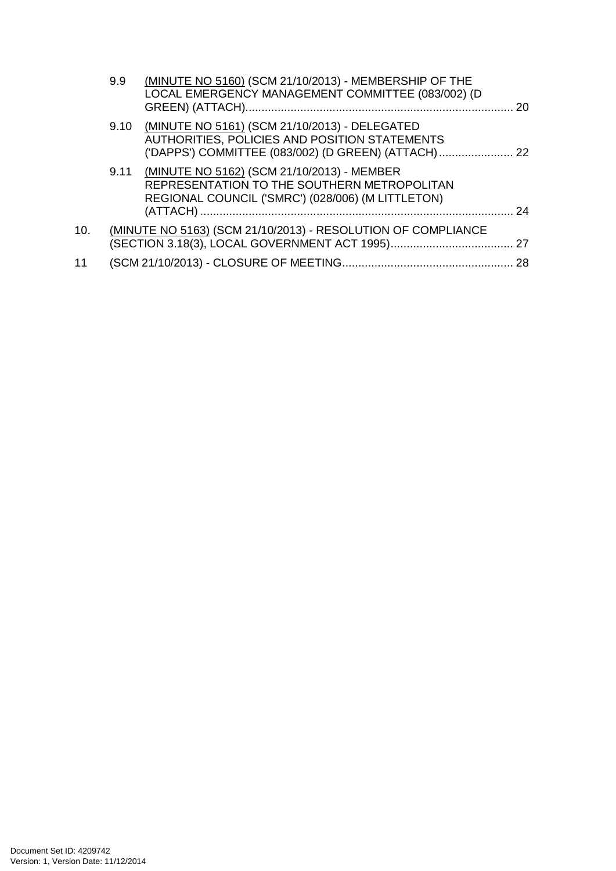|     | 9.9  | (MINUTE NO 5160) (SCM 21/10/2013) - MEMBERSHIP OF THE<br>LOCAL EMERGENCY MANAGEMENT COMMITTEE (083/002) (D                                            | 20 |
|-----|------|-------------------------------------------------------------------------------------------------------------------------------------------------------|----|
|     | 9.10 | (MINUTE NO 5161) (SCM 21/10/2013) - DELEGATED<br>AUTHORITIES, POLICIES AND POSITION STATEMENTS<br>('DAPPS') COMMITTEE (083/002) (D GREEN) (ATTACH) 22 |    |
|     |      | 9.11 (MINUTE NO 5162) (SCM 21/10/2013) - MEMBER<br>REPRESENTATION TO THE SOUTHERN METROPOLITAN<br>REGIONAL COUNCIL ('SMRC') (028/006) (M LITTLETON)   | 24 |
| 10. |      | (MINUTE NO 5163) (SCM 21/10/2013) - RESOLUTION OF COMPLIANCE                                                                                          |    |
| 11  |      |                                                                                                                                                       |    |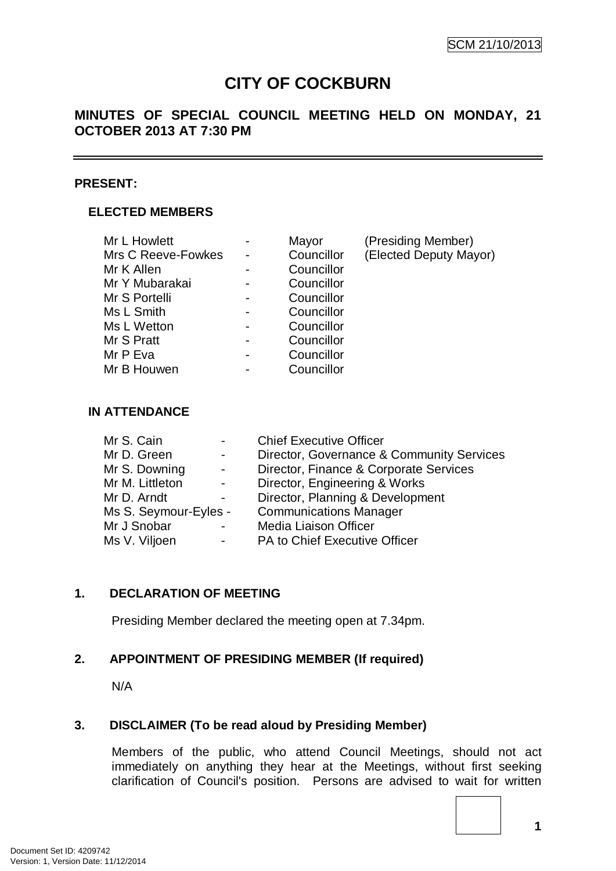# **CITY OF COCKBURN**

# **MINUTES OF SPECIAL COUNCIL MEETING HELD ON MONDAY, 21 OCTOBER 2013 AT 7:30 PM**

#### **PRESENT:**

### **ELECTED MEMBERS**

| Mayor      | (Presiding Member)     |
|------------|------------------------|
| Councillor | (Elected Deputy Mayor) |
| Councillor |                        |
| Councillor |                        |
| Councillor |                        |
| Councillor |                        |
| Councillor |                        |
| Councillor |                        |
| Councillor |                        |
| Councillor |                        |
|            |                        |

#### **IN ATTENDANCE**

| Mr S. Cain            |                          | <b>Chief Executive Officer</b>            |
|-----------------------|--------------------------|-------------------------------------------|
| Mr D. Green           | $\overline{\phantom{0}}$ | Director, Governance & Community Services |
| Mr S. Downing         | $\blacksquare$           | Director, Finance & Corporate Services    |
| Mr M. Littleton       | $\blacksquare$           | Director, Engineering & Works             |
| Mr D. Arndt           | $\blacksquare$           | Director, Planning & Development          |
| Ms S. Seymour-Eyles - |                          | <b>Communications Manager</b>             |
| Mr J Snobar           |                          | Media Liaison Officer                     |
| Ms V. Viljoen         | ۰                        | PA to Chief Executive Officer             |

### **1. DECLARATION OF MEETING**

Presiding Member declared the meeting open at 7.34pm.

### **2. APPOINTMENT OF PRESIDING MEMBER (If required)**

N/A

### **3. DISCLAIMER (To be read aloud by Presiding Member)**

Members of the public, who attend Council Meetings, should not act immediately on anything they hear at the Meetings, without first seeking clarification of Council's position. Persons are advised to wait for written

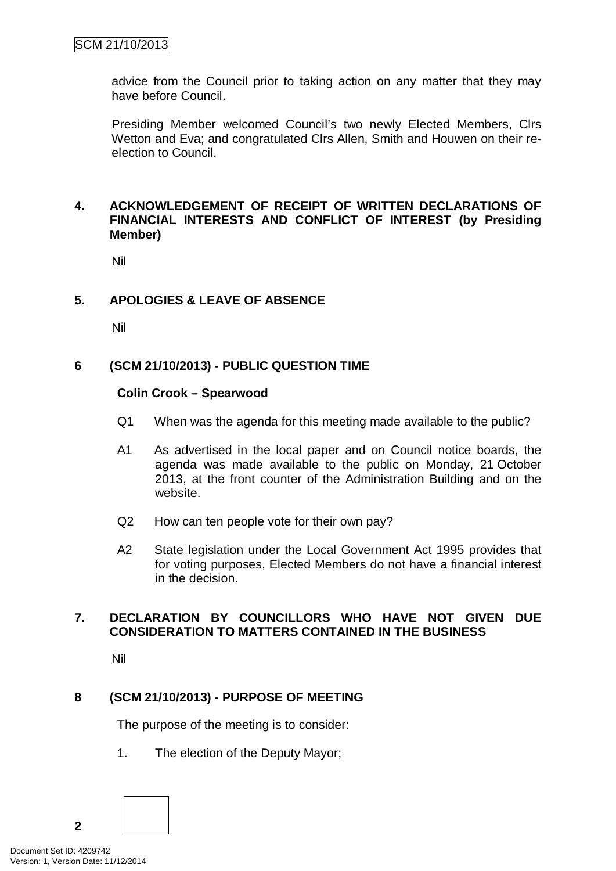advice from the Council prior to taking action on any matter that they may have before Council.

Presiding Member welcomed Council's two newly Elected Members, Clrs Wetton and Eva; and congratulated Clrs Allen, Smith and Houwen on their reelection to Council.

### **4. ACKNOWLEDGEMENT OF RECEIPT OF WRITTEN DECLARATIONS OF FINANCIAL INTERESTS AND CONFLICT OF INTEREST (by Presiding Member)**

Nil

### **5. APOLOGIES & LEAVE OF ABSENCE**

Nil

#### **6 (SCM 21/10/2013) - PUBLIC QUESTION TIME**

#### **Colin Crook – Spearwood**

- Q1 When was the agenda for this meeting made available to the public?
- A1 As advertised in the local paper and on Council notice boards, the agenda was made available to the public on Monday, 21 October 2013, at the front counter of the Administration Building and on the website.
- Q2 How can ten people vote for their own pay?
- A2 State legislation under the Local Government Act 1995 provides that for voting purposes, Elected Members do not have a financial interest in the decision.

### **7. DECLARATION BY COUNCILLORS WHO HAVE NOT GIVEN DUE CONSIDERATION TO MATTERS CONTAINED IN THE BUSINESS**

Nil

### **8 (SCM 21/10/2013) - PURPOSE OF MEETING**

The purpose of the meeting is to consider:

1. The election of the Deputy Mayor;

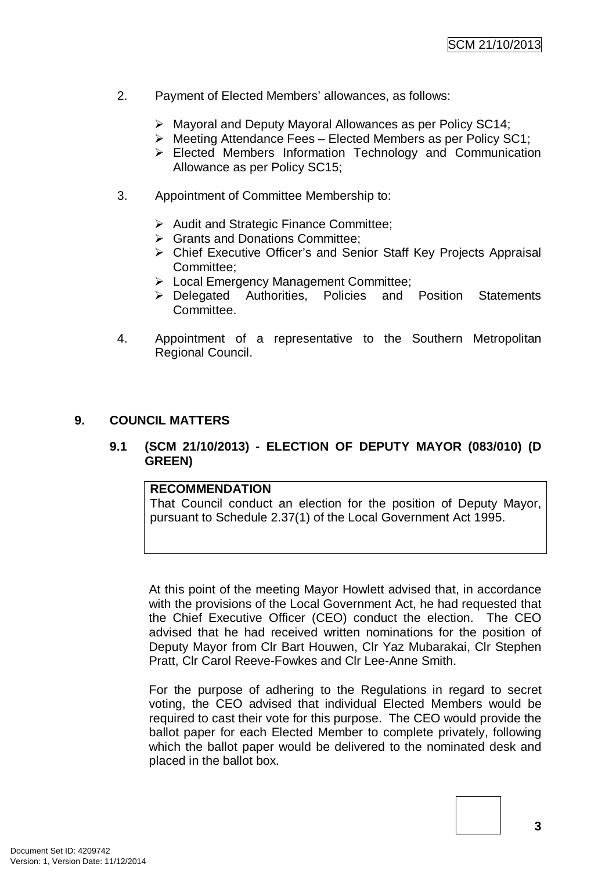- 2. Payment of Elected Members' allowances, as follows:
	- Mayoral and Deputy Mayoral Allowances as per Policy SC14;
	- $\triangleright$  Meeting Attendance Fees Elected Members as per Policy SC1;
	- Elected Members Information Technology and Communication Allowance as per Policy SC15;
- 3. Appointment of Committee Membership to:
	- Audit and Strategic Finance Committee;
	- **▶ Grants and Donations Committee:**
	- Chief Executive Officer's and Senior Staff Key Projects Appraisal Committee;
	- **EXEC** Local Emergency Management Committee;
	- Delegated Authorities, Policies and Position Statements Committee.
- 4. Appointment of a representative to the Southern Metropolitan Regional Council.

### **9. COUNCIL MATTERS**

### **9.1 (SCM 21/10/2013) - ELECTION OF DEPUTY MAYOR (083/010) (D GREEN)**

#### **RECOMMENDATION**

That Council conduct an election for the position of Deputy Mayor, pursuant to Schedule 2.37(1) of the Local Government Act 1995.

At this point of the meeting Mayor Howlett advised that, in accordance with the provisions of the Local Government Act, he had requested that the Chief Executive Officer (CEO) conduct the election. The CEO advised that he had received written nominations for the position of Deputy Mayor from Clr Bart Houwen, Clr Yaz Mubarakai, Clr Stephen Pratt, Clr Carol Reeve-Fowkes and Clr Lee-Anne Smith.

For the purpose of adhering to the Regulations in regard to secret voting, the CEO advised that individual Elected Members would be required to cast their vote for this purpose. The CEO would provide the ballot paper for each Elected Member to complete privately, following which the ballot paper would be delivered to the nominated desk and placed in the ballot box.

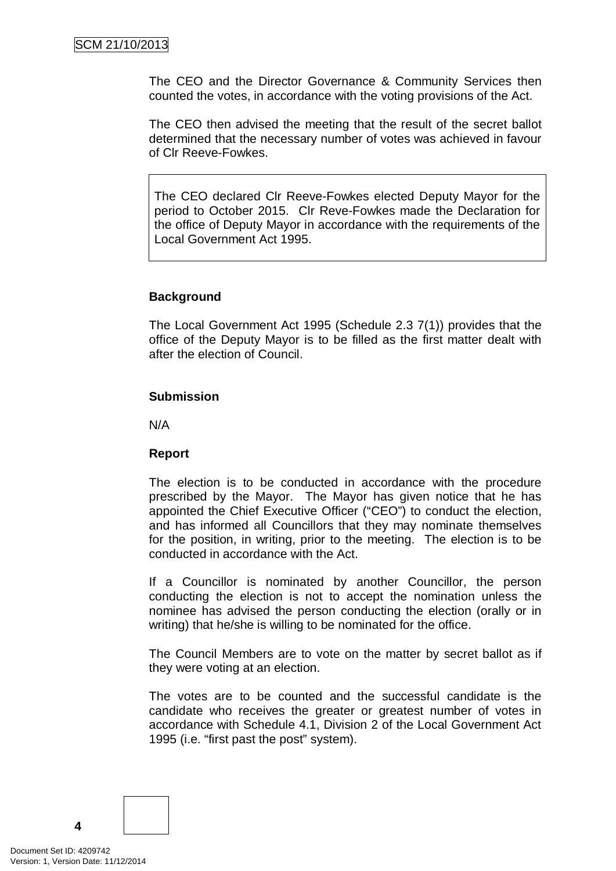The CEO and the Director Governance & Community Services then counted the votes, in accordance with the voting provisions of the Act.

The CEO then advised the meeting that the result of the secret ballot determined that the necessary number of votes was achieved in favour of Clr Reeve-Fowkes.

The CEO declared Clr Reeve-Fowkes elected Deputy Mayor for the period to October 2015. Clr Reve-Fowkes made the Declaration for the office of Deputy Mayor in accordance with the requirements of the Local Government Act 1995.

### **Background**

The Local Government Act 1995 (Schedule 2.3 7(1)) provides that the office of the Deputy Mayor is to be filled as the first matter dealt with after the election of Council.

#### **Submission**

N/A

### **Report**

The election is to be conducted in accordance with the procedure prescribed by the Mayor. The Mayor has given notice that he has appointed the Chief Executive Officer ("CEO") to conduct the election, and has informed all Councillors that they may nominate themselves for the position, in writing, prior to the meeting. The election is to be conducted in accordance with the Act.

If a Councillor is nominated by another Councillor, the person conducting the election is not to accept the nomination unless the nominee has advised the person conducting the election (orally or in writing) that he/she is willing to be nominated for the office.

The Council Members are to vote on the matter by secret ballot as if they were voting at an election.

The votes are to be counted and the successful candidate is the candidate who receives the greater or greatest number of votes in accordance with Schedule 4.1, Division 2 of the Local Government Act 1995 (i.e. "first past the post" system).

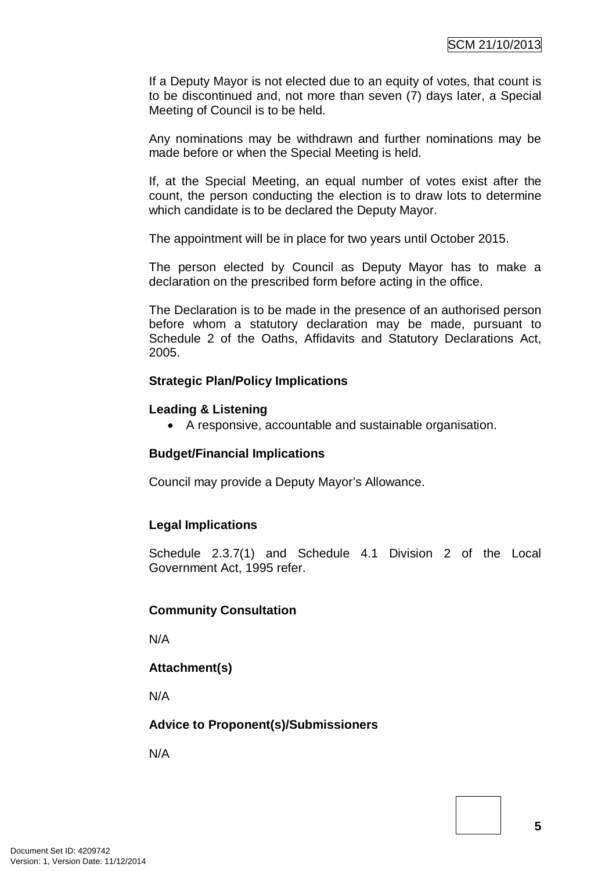If a Deputy Mayor is not elected due to an equity of votes, that count is to be discontinued and, not more than seven (7) days later, a Special Meeting of Council is to be held.

Any nominations may be withdrawn and further nominations may be made before or when the Special Meeting is held.

If, at the Special Meeting, an equal number of votes exist after the count, the person conducting the election is to draw lots to determine which candidate is to be declared the Deputy Mayor.

The appointment will be in place for two years until October 2015.

The person elected by Council as Deputy Mayor has to make a declaration on the prescribed form before acting in the office.

The Declaration is to be made in the presence of an authorised person before whom a statutory declaration may be made, pursuant to Schedule 2 of the Oaths, Affidavits and Statutory Declarations Act, 2005.

#### **Strategic Plan/Policy Implications**

#### **Leading & Listening**

• A responsive, accountable and sustainable organisation.

#### **Budget/Financial Implications**

Council may provide a Deputy Mayor's Allowance.

#### **Legal Implications**

Schedule 2.3.7(1) and Schedule 4.1 Division 2 of the Local Government Act, 1995 refer.

#### **Community Consultation**

N/A

#### **Attachment(s)**

N/A

#### **Advice to Proponent(s)/Submissioners**

N/A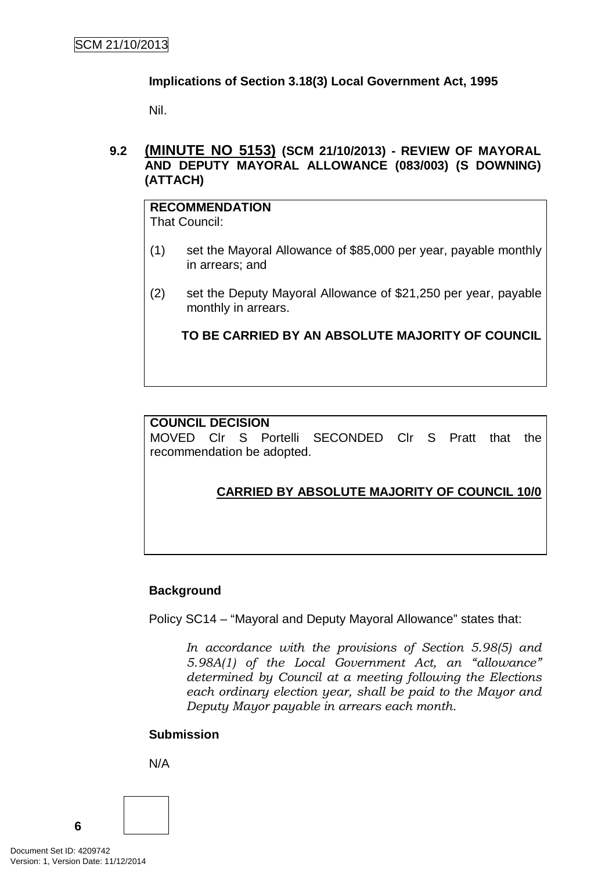### **Implications of Section 3.18(3) Local Government Act, 1995**

Nil.

### **9.2 (MINUTE NO 5153) (SCM 21/10/2013) - REVIEW OF MAYORAL AND DEPUTY MAYORAL ALLOWANCE (083/003) (S DOWNING) (ATTACH)**

# **RECOMMENDATION**

That Council:

- (1) set the Mayoral Allowance of \$85,000 per year, payable monthly in arrears; and
- (2) set the Deputy Mayoral Allowance of \$21,250 per year, payable monthly in arrears.

**TO BE CARRIED BY AN ABSOLUTE MAJORITY OF COUNCIL**

### **COUNCIL DECISION**

MOVED Clr S Portelli SECONDED Clr S Pratt that the recommendation be adopted.

# **CARRIED BY ABSOLUTE MAJORITY OF COUNCIL 10/0**

### **Background**

Policy SC14 – "Mayoral and Deputy Mayoral Allowance" states that:

*In accordance with the provisions of Section 5.98(5) and 5.98A(1) of the Local Government Act, an "allowance" determined by Council at a meeting following the Elections each ordinary election year, shall be paid to the Mayor and Deputy Mayor payable in arrears each month.*

# **Submission**

N/A

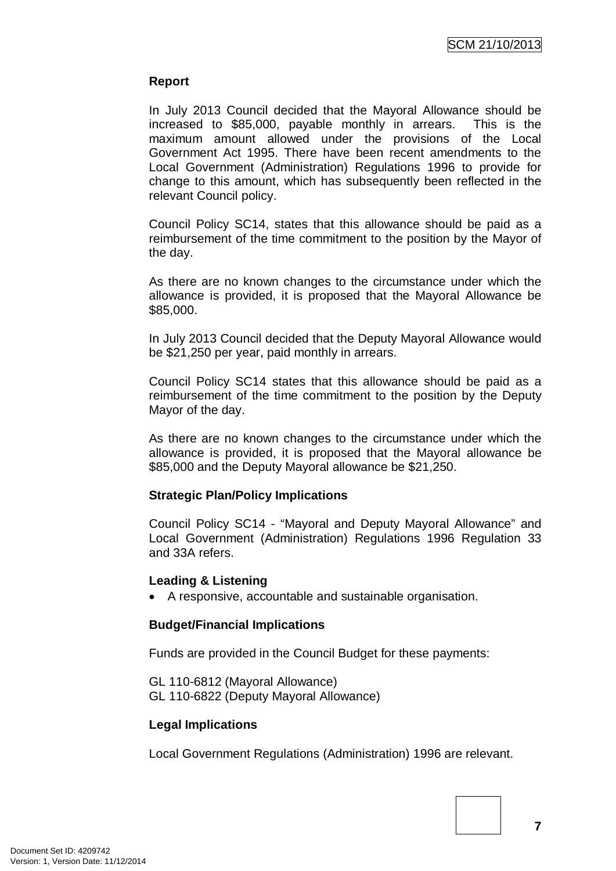### **Report**

In July 2013 Council decided that the Mayoral Allowance should be increased to \$85,000, payable monthly in arrears. This is the maximum amount allowed under the provisions of the Local Government Act 1995. There have been recent amendments to the Local Government (Administration) Regulations 1996 to provide for change to this amount, which has subsequently been reflected in the relevant Council policy.

Council Policy SC14, states that this allowance should be paid as a reimbursement of the time commitment to the position by the Mayor of the day.

As there are no known changes to the circumstance under which the allowance is provided, it is proposed that the Mayoral Allowance be \$85,000.

In July 2013 Council decided that the Deputy Mayoral Allowance would be \$21,250 per year, paid monthly in arrears.

Council Policy SC14 states that this allowance should be paid as a reimbursement of the time commitment to the position by the Deputy Mayor of the day.

As there are no known changes to the circumstance under which the allowance is provided, it is proposed that the Mayoral allowance be \$85,000 and the Deputy Mayoral allowance be \$21,250.

### **Strategic Plan/Policy Implications**

Council Policy SC14 - "Mayoral and Deputy Mayoral Allowance" and Local Government (Administration) Regulations 1996 Regulation 33 and 33A refers.

#### **Leading & Listening**

• A responsive, accountable and sustainable organisation.

### **Budget/Financial Implications**

Funds are provided in the Council Budget for these payments:

GL 110-6812 (Mayoral Allowance) GL 110-6822 (Deputy Mayoral Allowance)

### **Legal Implications**

Local Government Regulations (Administration) 1996 are relevant.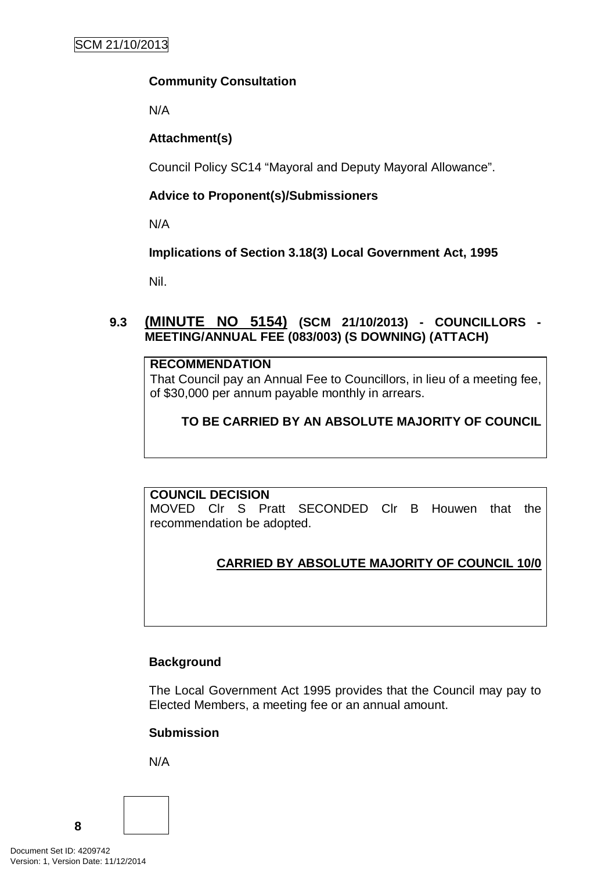### **Community Consultation**

N/A

### **Attachment(s)**

Council Policy SC14 "Mayoral and Deputy Mayoral Allowance".

# **Advice to Proponent(s)/Submissioners**

N/A

# **Implications of Section 3.18(3) Local Government Act, 1995**

Nil.

# **9.3 (MINUTE NO 5154) (SCM 21/10/2013) - COUNCILLORS - MEETING/ANNUAL FEE (083/003) (S DOWNING) (ATTACH)**

### **RECOMMENDATION**

That Council pay an Annual Fee to Councillors, in lieu of a meeting fee, of \$30,000 per annum payable monthly in arrears.

# **TO BE CARRIED BY AN ABSOLUTE MAJORITY OF COUNCIL**

### **COUNCIL DECISION**

MOVED Clr S Pratt SECONDED Clr B Houwen that the recommendation be adopted.

# **CARRIED BY ABSOLUTE MAJORITY OF COUNCIL 10/0**

# **Background**

The Local Government Act 1995 provides that the Council may pay to Elected Members, a meeting fee or an annual amount.

# **Submission**

N/A

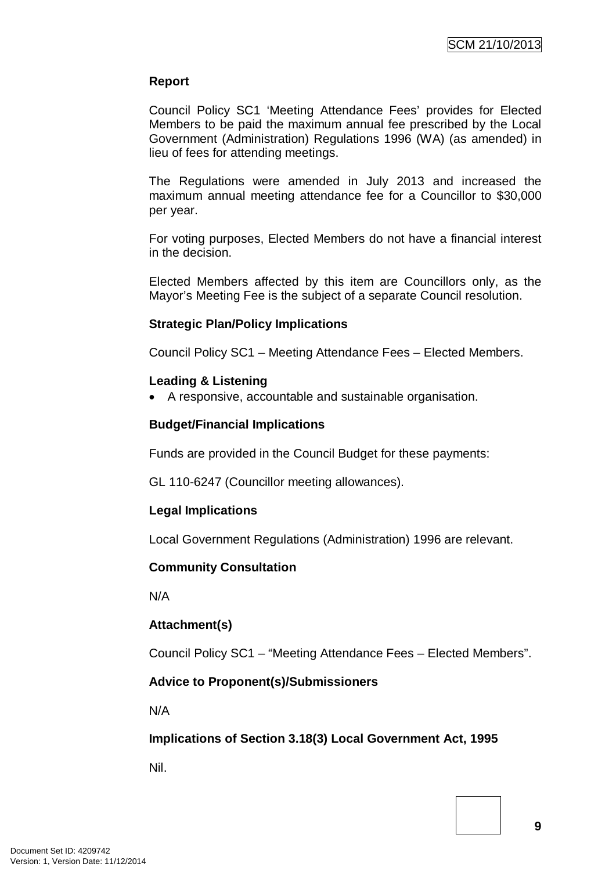### **Report**

Council Policy SC1 'Meeting Attendance Fees' provides for Elected Members to be paid the maximum annual fee prescribed by the Local Government (Administration) Regulations 1996 (WA) (as amended) in lieu of fees for attending meetings.

The Regulations were amended in July 2013 and increased the maximum annual meeting attendance fee for a Councillor to \$30,000 per year.

For voting purposes, Elected Members do not have a financial interest in the decision.

Elected Members affected by this item are Councillors only, as the Mayor's Meeting Fee is the subject of a separate Council resolution.

### **Strategic Plan/Policy Implications**

Council Policy SC1 – Meeting Attendance Fees – Elected Members.

### **Leading & Listening**

• A responsive, accountable and sustainable organisation.

### **Budget/Financial Implications**

Funds are provided in the Council Budget for these payments:

GL 110-6247 (Councillor meeting allowances).

### **Legal Implications**

Local Government Regulations (Administration) 1996 are relevant.

### **Community Consultation**

N/A

# **Attachment(s)**

Council Policy SC1 – "Meeting Attendance Fees – Elected Members".

### **Advice to Proponent(s)/Submissioners**

N/A

# **Implications of Section 3.18(3) Local Government Act, 1995**

Nil.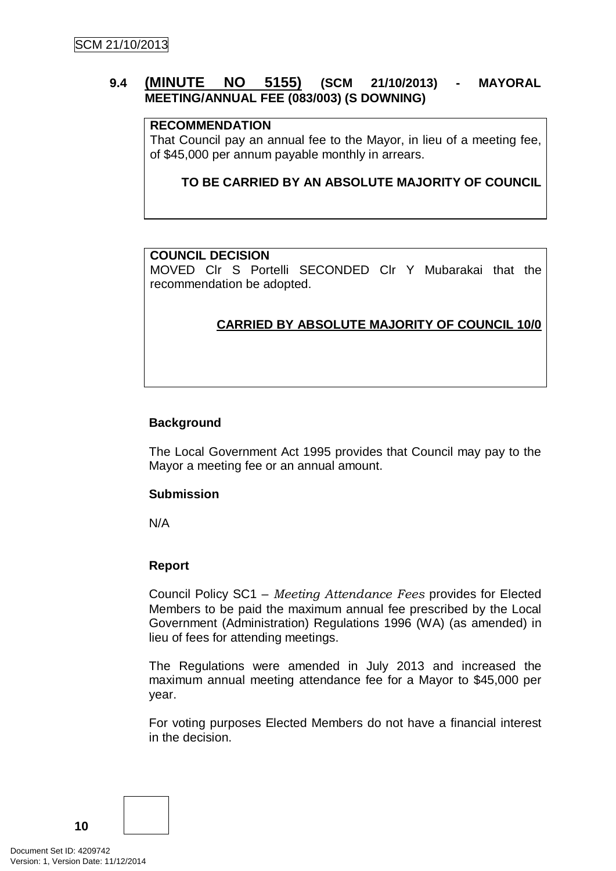### **9.4 (MINUTE NO 5155) (SCM 21/10/2013) - MAYORAL MEETING/ANNUAL FEE (083/003) (S DOWNING)**

#### **RECOMMENDATION**

That Council pay an annual fee to the Mayor, in lieu of a meeting fee, of \$45,000 per annum payable monthly in arrears.

#### **TO BE CARRIED BY AN ABSOLUTE MAJORITY OF COUNCIL**

#### **COUNCIL DECISION**

MOVED Clr S Portelli SECONDED Clr Y Mubarakai that the recommendation be adopted.

# **CARRIED BY ABSOLUTE MAJORITY OF COUNCIL 10/0**

#### **Background**

The Local Government Act 1995 provides that Council may pay to the Mayor a meeting fee or an annual amount.

#### **Submission**

N/A

### **Report**

Council Policy SC1 – *Meeting Attendance Fees* provides for Elected Members to be paid the maximum annual fee prescribed by the Local Government (Administration) Regulations 1996 (WA) (as amended) in lieu of fees for attending meetings.

The Regulations were amended in July 2013 and increased the maximum annual meeting attendance fee for a Mayor to \$45,000 per year.

For voting purposes Elected Members do not have a financial interest in the decision.

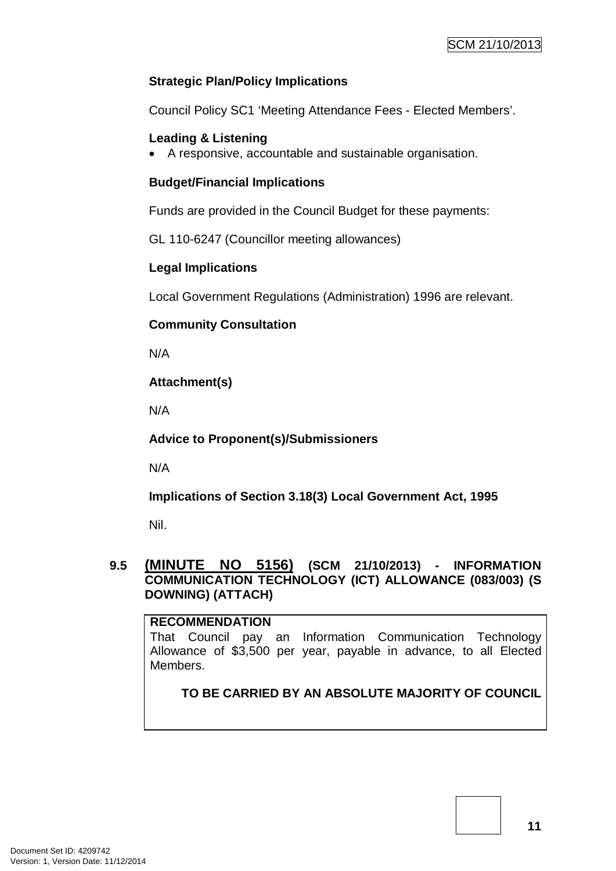### **Strategic Plan/Policy Implications**

Council Policy SC1 'Meeting Attendance Fees - Elected Members'.

### **Leading & Listening**

• A responsive, accountable and sustainable organisation.

### **Budget/Financial Implications**

Funds are provided in the Council Budget for these payments:

GL 110-6247 (Councillor meeting allowances)

# **Legal Implications**

Local Government Regulations (Administration) 1996 are relevant.

### **Community Consultation**

N/A

# **Attachment(s)**

N/A

**Advice to Proponent(s)/Submissioners**

N/A

**Implications of Section 3.18(3) Local Government Act, 1995**

Nil.

### **9.5 (MINUTE NO 5156) (SCM 21/10/2013) - INFORMATION COMMUNICATION TECHNOLOGY (ICT) ALLOWANCE (083/003) (S DOWNING) (ATTACH)**

### **RECOMMENDATION**

That Council pay an Information Communication Technology Allowance of \$3,500 per year, payable in advance, to all Elected **Members** 

**TO BE CARRIED BY AN ABSOLUTE MAJORITY OF COUNCIL**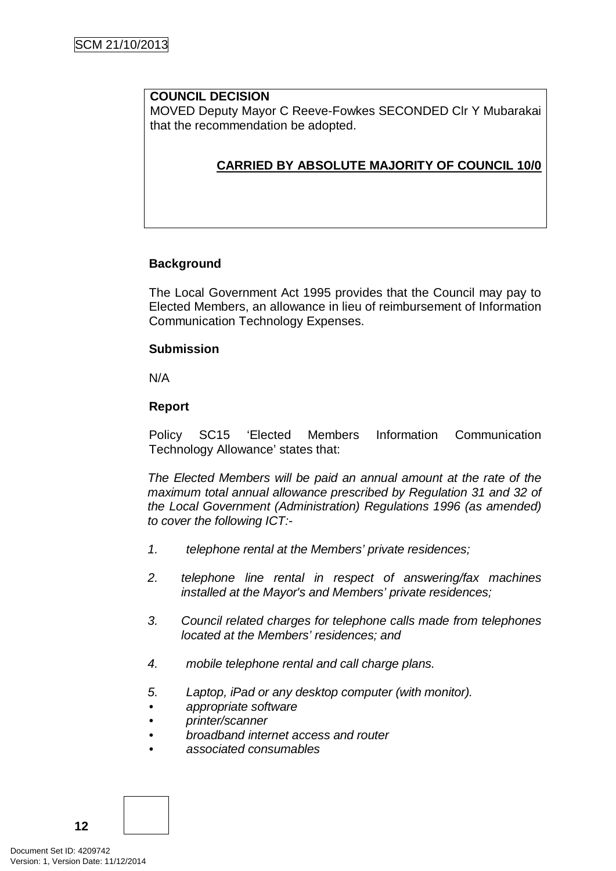### **COUNCIL DECISION**

MOVED Deputy Mayor C Reeve-Fowkes SECONDED Clr Y Mubarakai that the recommendation be adopted.

# **CARRIED BY ABSOLUTE MAJORITY OF COUNCIL 10/0**

### **Background**

The Local Government Act 1995 provides that the Council may pay to Elected Members, an allowance in lieu of reimbursement of Information Communication Technology Expenses.

### **Submission**

N/A

### **Report**

Policy SC15 'Elected Members Information Communication Technology Allowance' states that:

*The Elected Members will be paid an annual amount at the rate of the maximum total annual allowance prescribed by Regulation 31 and 32 of the Local Government (Administration) Regulations 1996 (as amended) to cover the following ICT:-*

- *1. telephone rental at the Members' private residences;*
- *2. telephone line rental in respect of answering/fax machines installed at the Mayor's and Members' private residences;*
- *3. Council related charges for telephone calls made from telephones located at the Members' residences; and*
- *4. mobile telephone rental and call charge plans.*
- *5. Laptop, iPad or any desktop computer (with monitor).*
- *• appropriate software*
- *• printer/scanner*
- *• broadband internet access and router*
- *• associated consumables*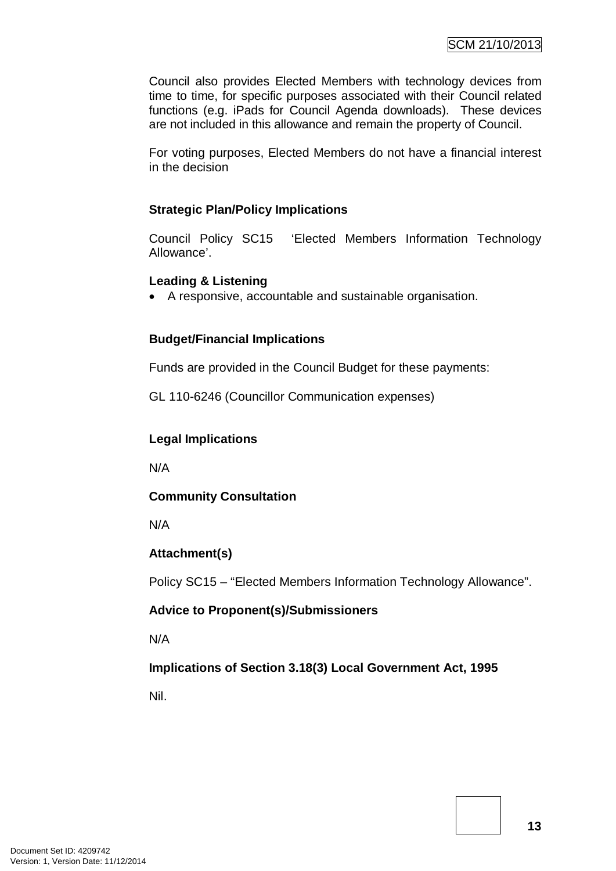Council also provides Elected Members with technology devices from time to time, for specific purposes associated with their Council related functions (e.g. iPads for Council Agenda downloads). These devices are not included in this allowance and remain the property of Council.

For voting purposes, Elected Members do not have a financial interest in the decision

### **Strategic Plan/Policy Implications**

Council Policy SC15 'Elected Members Information Technology Allowance'.

### **Leading & Listening**

• A responsive, accountable and sustainable organisation.

### **Budget/Financial Implications**

Funds are provided in the Council Budget for these payments:

GL 110-6246 (Councillor Communication expenses)

### **Legal Implications**

N/A

### **Community Consultation**

N/A

### **Attachment(s)**

Policy SC15 – "Elected Members Information Technology Allowance".

### **Advice to Proponent(s)/Submissioners**

N/A

**Implications of Section 3.18(3) Local Government Act, 1995**

Nil.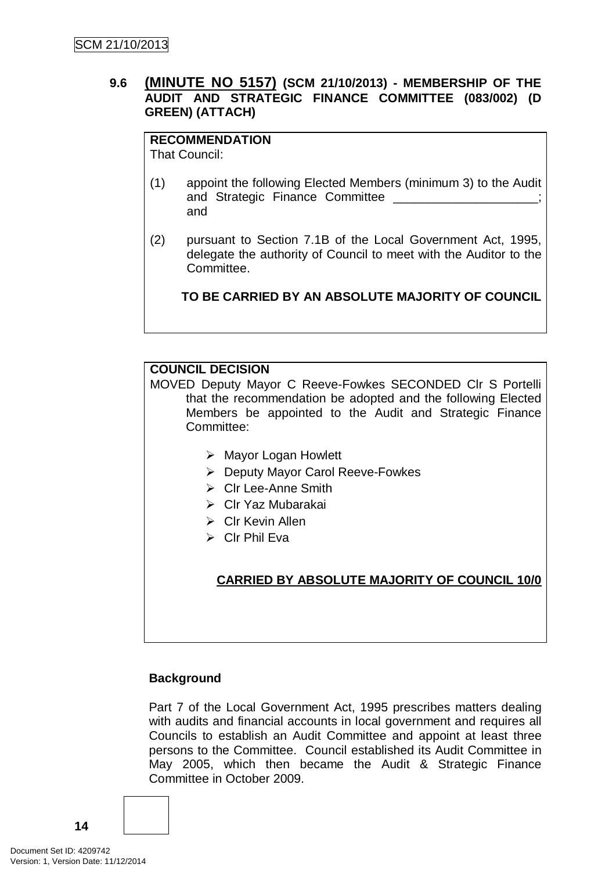### **9.6 (MINUTE NO 5157) (SCM 21/10/2013) - MEMBERSHIP OF THE AUDIT AND STRATEGIC FINANCE COMMITTEE (083/002) (D GREEN) (ATTACH)**

# **RECOMMENDATION**

That Council:

- (1) appoint the following Elected Members (minimum 3) to the Audit and Strategic Finance Committee \_ and
- (2) pursuant to Section 7.1B of the Local Government Act, 1995, delegate the authority of Council to meet with the Auditor to the Committee.

**TO BE CARRIED BY AN ABSOLUTE MAJORITY OF COUNCIL**

# **COUNCIL DECISION**

MOVED Deputy Mayor C Reeve-Fowkes SECONDED Clr S Portelli that the recommendation be adopted and the following Elected Members be appointed to the Audit and Strategic Finance Committee:

- Mayor Logan Howlett
- Deputy Mayor Carol Reeve-Fowkes
- $\triangleright$  Clr Lee-Anne Smith
- Clr Yaz Mubarakai
- $\triangleright$  Clr Kevin Allen
- $\triangleright$  Clr Phil Eva

# **CARRIED BY ABSOLUTE MAJORITY OF COUNCIL 10/0**

### **Background**

Part 7 of the Local Government Act, 1995 prescribes matters dealing with audits and financial accounts in local government and requires all Councils to establish an Audit Committee and appoint at least three persons to the Committee. Council established its Audit Committee in May 2005, which then became the Audit & Strategic Finance Committee in October 2009.

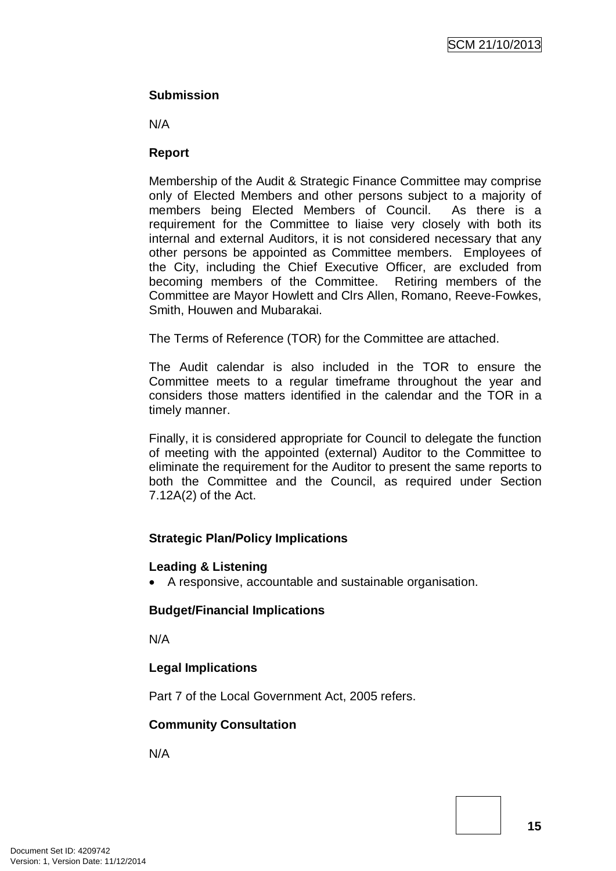### **Submission**

N/A

### **Report**

Membership of the Audit & Strategic Finance Committee may comprise only of Elected Members and other persons subject to a majority of members being Elected Members of Council. As there is a members being Elected Members of Council. requirement for the Committee to liaise very closely with both its internal and external Auditors, it is not considered necessary that any other persons be appointed as Committee members. Employees of the City, including the Chief Executive Officer, are excluded from becoming members of the Committee. Retiring members of the Committee are Mayor Howlett and Clrs Allen, Romano, Reeve-Fowkes, Smith, Houwen and Mubarakai.

The Terms of Reference (TOR) for the Committee are attached.

The Audit calendar is also included in the TOR to ensure the Committee meets to a regular timeframe throughout the year and considers those matters identified in the calendar and the TOR in a timely manner.

Finally, it is considered appropriate for Council to delegate the function of meeting with the appointed (external) Auditor to the Committee to eliminate the requirement for the Auditor to present the same reports to both the Committee and the Council, as required under Section 7.12A(2) of the Act.

# **Strategic Plan/Policy Implications**

### **Leading & Listening**

• A responsive, accountable and sustainable organisation.

# **Budget/Financial Implications**

N/A

# **Legal Implications**

Part 7 of the Local Government Act, 2005 refers.

# **Community Consultation**

N/A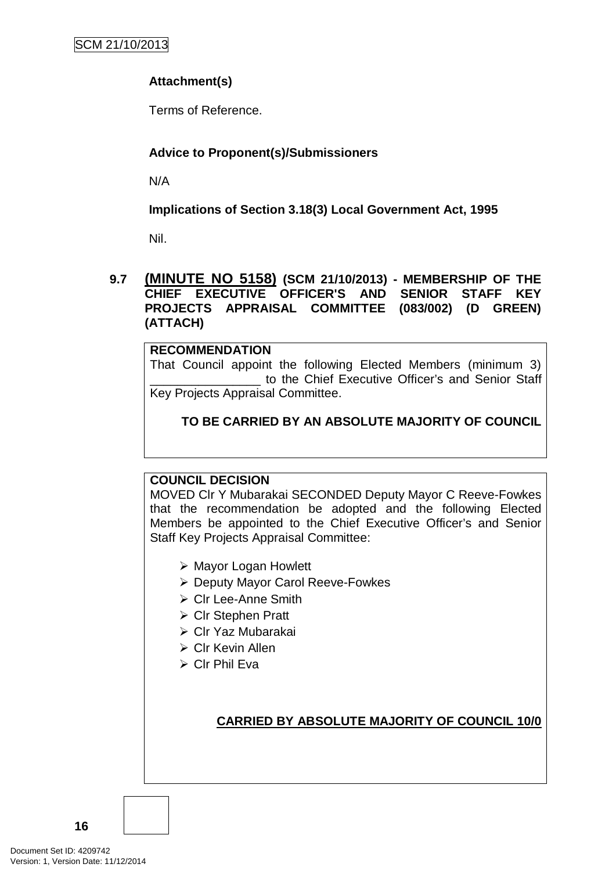# **Attachment(s)**

Terms of Reference.

# **Advice to Proponent(s)/Submissioners**

N/A

# **Implications of Section 3.18(3) Local Government Act, 1995**

Nil.

**9.7 (MINUTE NO 5158) (SCM 21/10/2013) - MEMBERSHIP OF THE CHIEF EXECUTIVE OFFICER'S AND SENIOR STAFF KEY PROJECTS APPRAISAL COMMITTEE (083/002) (D GREEN) (ATTACH)**

### **RECOMMENDATION**

That Council appoint the following Elected Members (minimum 3) \_\_\_\_\_\_\_\_\_\_\_\_\_\_\_\_ to the Chief Executive Officer's and Senior Staff Key Projects Appraisal Committee.

# **TO BE CARRIED BY AN ABSOLUTE MAJORITY OF COUNCIL**

### **COUNCIL DECISION**

MOVED Clr Y Mubarakai SECONDED Deputy Mayor C Reeve-Fowkes that the recommendation be adopted and the following Elected Members be appointed to the Chief Executive Officer's and Senior Staff Key Projects Appraisal Committee:

- Mayor Logan Howlett
- Deputy Mayor Carol Reeve-Fowkes
- ▶ Clr Lee-Anne Smith
- **▶ Cir Stephen Pratt**
- Clr Yaz Mubarakai
- Clr Kevin Allen
- Clr Phil Eva

**CARRIED BY ABSOLUTE MAJORITY OF COUNCIL 10/0**

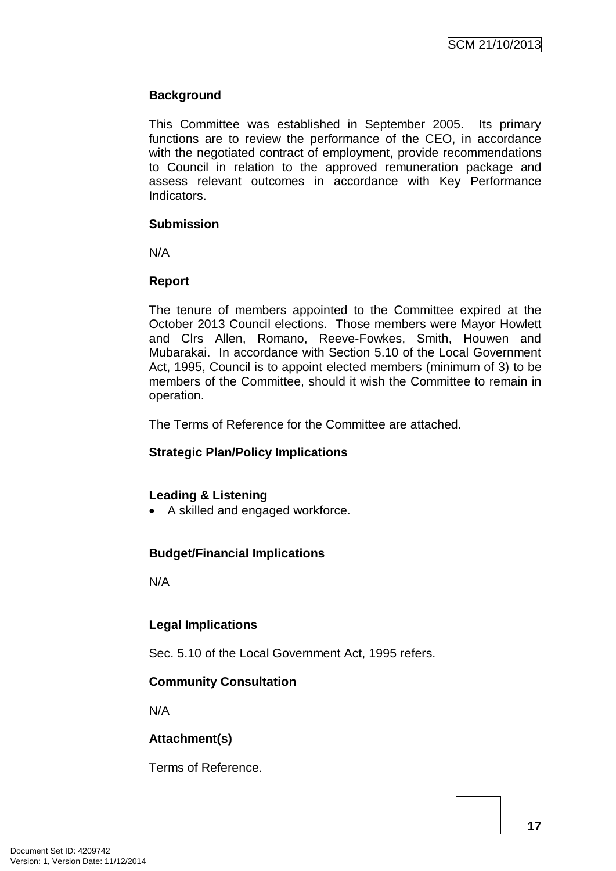### **Background**

This Committee was established in September 2005. Its primary functions are to review the performance of the CEO, in accordance with the negotiated contract of employment, provide recommendations to Council in relation to the approved remuneration package and assess relevant outcomes in accordance with Key Performance Indicators.

#### **Submission**

N/A

### **Report**

The tenure of members appointed to the Committee expired at the October 2013 Council elections. Those members were Mayor Howlett and Clrs Allen, Romano, Reeve-Fowkes, Smith, Houwen and Mubarakai. In accordance with Section 5.10 of the Local Government Act, 1995, Council is to appoint elected members (minimum of 3) to be members of the Committee, should it wish the Committee to remain in operation.

The Terms of Reference for the Committee are attached.

# **Strategic Plan/Policy Implications**

### **Leading & Listening**

• A skilled and engaged workforce.

# **Budget/Financial Implications**

N/A

# **Legal Implications**

Sec. 5.10 of the Local Government Act, 1995 refers.

### **Community Consultation**

N/A

# **Attachment(s)**

Terms of Reference.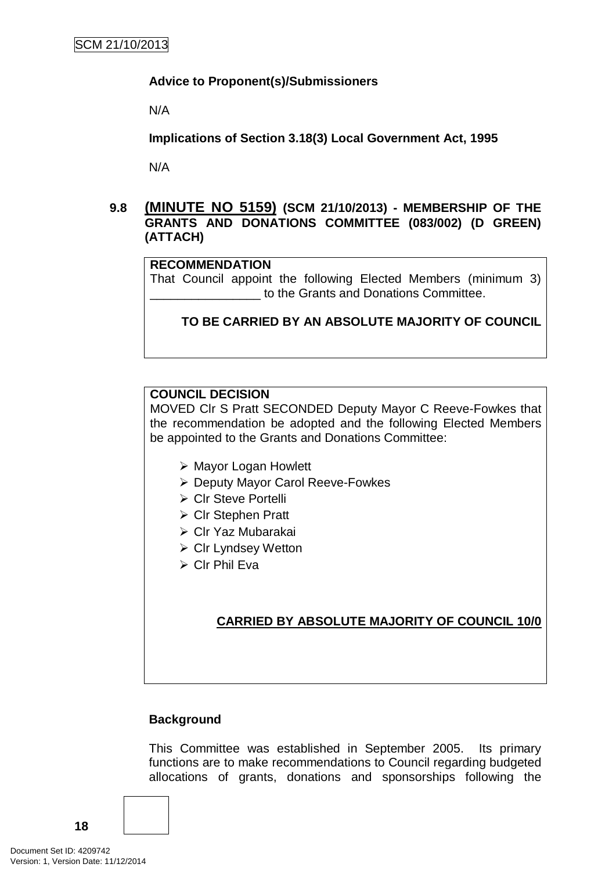#### **Advice to Proponent(s)/Submissioners**

N/A

**Implications of Section 3.18(3) Local Government Act, 1995**

N/A

### **9.8 (MINUTE NO 5159) (SCM 21/10/2013) - MEMBERSHIP OF THE GRANTS AND DONATIONS COMMITTEE (083/002) (D GREEN) (ATTACH)**

#### **RECOMMENDATION**

That Council appoint the following Elected Members (minimum 3) \_\_\_\_\_\_\_\_\_\_\_\_\_\_\_\_ to the Grants and Donations Committee.

**TO BE CARRIED BY AN ABSOLUTE MAJORITY OF COUNCIL**

### **COUNCIL DECISION**

MOVED Clr S Pratt SECONDED Deputy Mayor C Reeve-Fowkes that the recommendation be adopted and the following Elected Members be appointed to the Grants and Donations Committee:

- Mayor Logan Howlett
- ▶ Deputy Mayor Carol Reeve-Fowkes
- ▶ Clr Steve Portelli
- **≻ Clr Stephen Pratt**
- Clr Yaz Mubarakai
- Clr Lyndsey Wetton
- $\triangleright$  Clr Phil Eva

# **CARRIED BY ABSOLUTE MAJORITY OF COUNCIL 10/0**

#### **Background**

This Committee was established in September 2005. Its primary functions are to make recommendations to Council regarding budgeted allocations of grants, donations and sponsorships following the

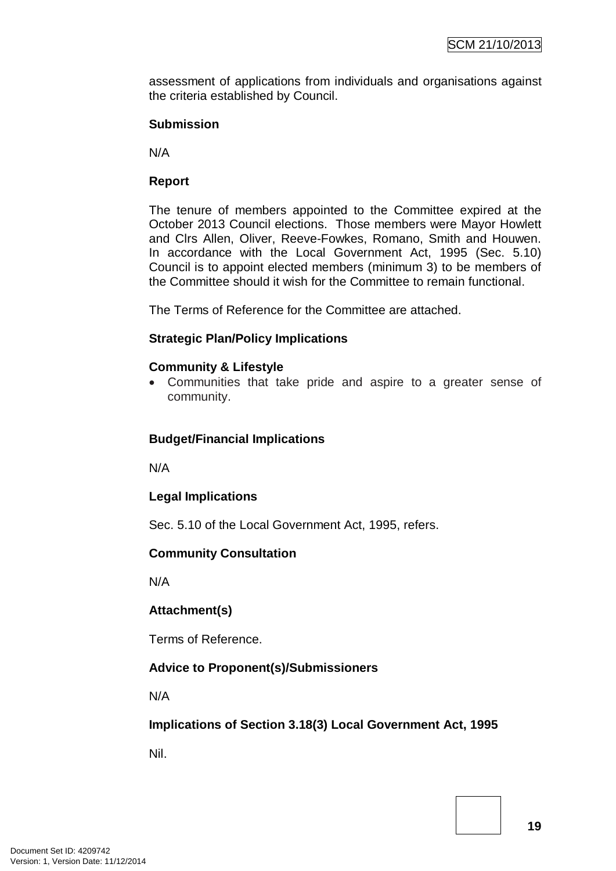assessment of applications from individuals and organisations against the criteria established by Council.

#### **Submission**

N/A

### **Report**

The tenure of members appointed to the Committee expired at the October 2013 Council elections. Those members were Mayor Howlett and Clrs Allen, Oliver, Reeve-Fowkes, Romano, Smith and Houwen. In accordance with the Local Government Act, 1995 (Sec. 5.10) Council is to appoint elected members (minimum 3) to be members of the Committee should it wish for the Committee to remain functional.

The Terms of Reference for the Committee are attached.

### **Strategic Plan/Policy Implications**

### **Community & Lifestyle**

• Communities that take pride and aspire to a greater sense of community.

### **Budget/Financial Implications**

N/A

### **Legal Implications**

Sec. 5.10 of the Local Government Act, 1995, refers.

### **Community Consultation**

N/A

### **Attachment(s)**

Terms of Reference.

### **Advice to Proponent(s)/Submissioners**

N/A

### **Implications of Section 3.18(3) Local Government Act, 1995**

Nil.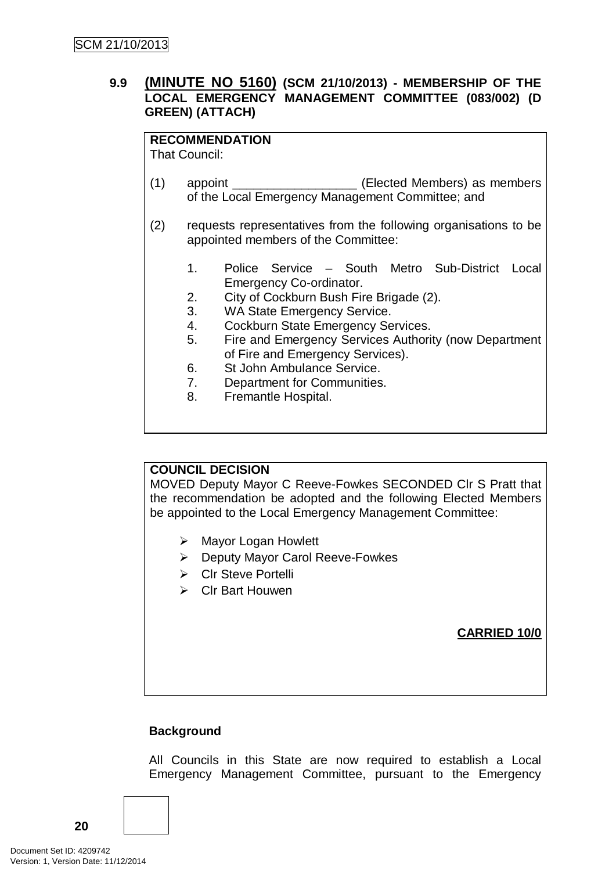### **9.9 (MINUTE NO 5160) (SCM 21/10/2013) - MEMBERSHIP OF THE LOCAL EMERGENCY MANAGEMENT COMMITTEE (083/002) (D GREEN) (ATTACH)**

# **RECOMMENDATION**

That Council:

- (1) appoint \_\_\_\_\_\_\_\_\_\_\_\_\_\_\_\_\_\_ (Elected Members) as members of the Local Emergency Management Committee; and
- (2) requests representatives from the following organisations to be appointed members of the Committee:
	- 1. Police Service South Metro Sub-District Local Emergency Co-ordinator.
	- 2. City of Cockburn Bush Fire Brigade (2).
	- 3. WA State Emergency Service.
	- 4. Cockburn State Emergency Services.
	- 5. Fire and Emergency Services Authority (now Department of Fire and Emergency Services).
	- 6. St John Ambulance Service.
	- 7. Department for Communities.
	- 8. Fremantle Hospital.

# **COUNCIL DECISION**

MOVED Deputy Mayor C Reeve-Fowkes SECONDED Clr S Pratt that the recommendation be adopted and the following Elected Members be appointed to the Local Emergency Management Committee:

- ▶ Mayor Logan Howlett
- Deputy Mayor Carol Reeve-Fowkes
- Clr Steve Portelli
- **►** Clr Bart Houwen

### **CARRIED 10/0**

# **Background**

All Councils in this State are now required to establish a Local Emergency Management Committee, pursuant to the Emergency

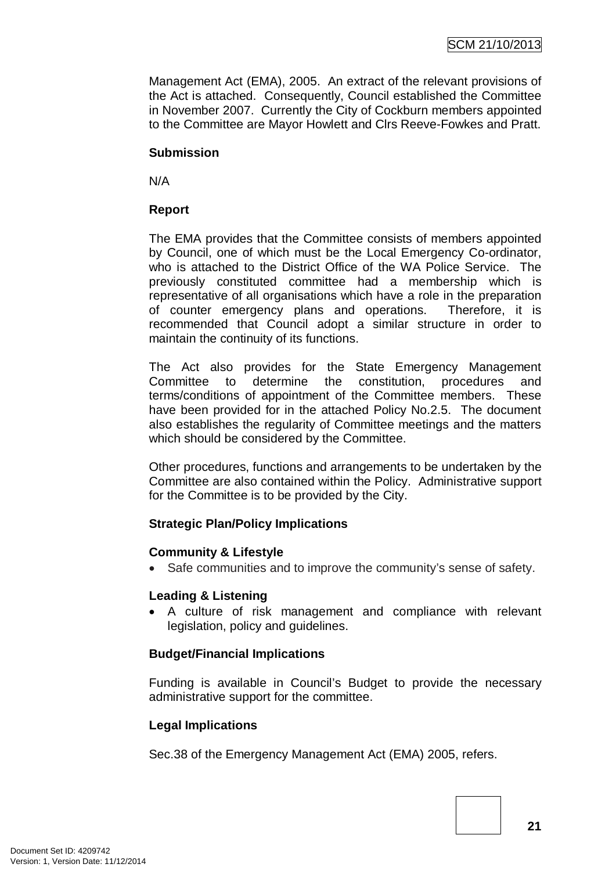Management Act (EMA), 2005. An extract of the relevant provisions of the Act is attached. Consequently, Council established the Committee in November 2007. Currently the City of Cockburn members appointed to the Committee are Mayor Howlett and Clrs Reeve-Fowkes and Pratt.

### **Submission**

N/A

# **Report**

The EMA provides that the Committee consists of members appointed by Council, one of which must be the Local Emergency Co-ordinator, who is attached to the District Office of the WA Police Service. The previously constituted committee had a membership which is representative of all organisations which have a role in the preparation of counter emergency plans and operations. Therefore, it is recommended that Council adopt a similar structure in order to maintain the continuity of its functions.

The Act also provides for the State Emergency Management Committee to determine the constitution, procedures and terms/conditions of appointment of the Committee members. These have been provided for in the attached Policy No.2.5. The document also establishes the regularity of Committee meetings and the matters which should be considered by the Committee.

Other procedures, functions and arrangements to be undertaken by the Committee are also contained within the Policy. Administrative support for the Committee is to be provided by the City.

# **Strategic Plan/Policy Implications**

### **Community & Lifestyle**

• Safe communities and to improve the community's sense of safety.

### **Leading & Listening**

• A culture of risk management and compliance with relevant legislation, policy and guidelines.

# **Budget/Financial Implications**

Funding is available in Council's Budget to provide the necessary administrative support for the committee.

### **Legal Implications**

Sec.38 of the Emergency Management Act (EMA) 2005, refers.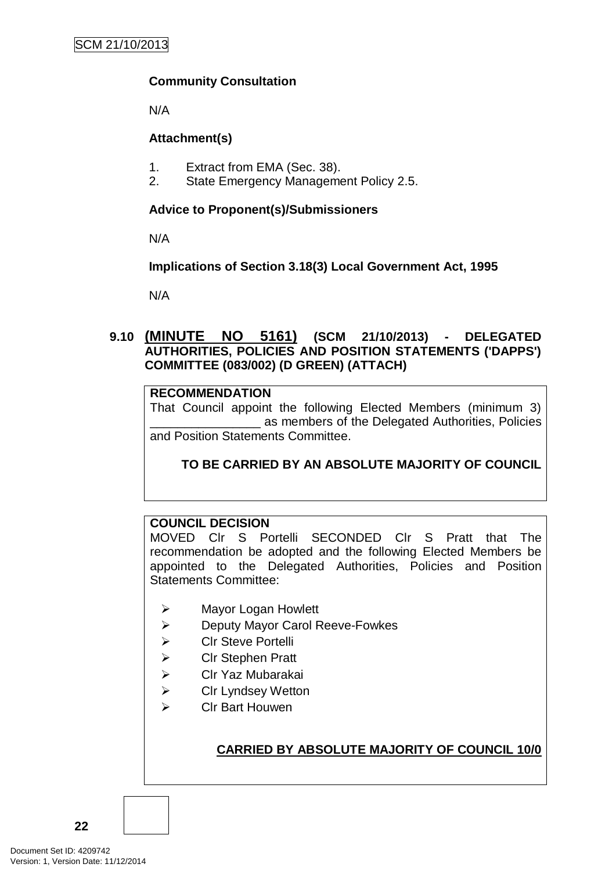### **Community Consultation**

N/A

### **Attachment(s)**

- 1. Extract from EMA (Sec. 38).
- 2. State Emergency Management Policy 2.5.

### **Advice to Proponent(s)/Submissioners**

N/A

### **Implications of Section 3.18(3) Local Government Act, 1995**

N/A

### **9.10 (MINUTE NO 5161) (SCM 21/10/2013) - DELEGATED AUTHORITIES, POLICIES AND POSITION STATEMENTS ('DAPPS') COMMITTEE (083/002) (D GREEN) (ATTACH)**

### **RECOMMENDATION**

That Council appoint the following Elected Members (minimum 3) as members of the Delegated Authorities, Policies and Position Statements Committee.

# **TO BE CARRIED BY AN ABSOLUTE MAJORITY OF COUNCIL**

# **COUNCIL DECISION**

MOVED Clr S Portelli SECONDED Clr S Pratt that The recommendation be adopted and the following Elected Members be appointed to the Delegated Authorities, Policies and Position Statements Committee:

- Mayor Logan Howlett
- $\triangleright$  Deputy Mayor Carol Reeve-Fowkes
- **▶ CIr Steve Portelli**
- **▶ Clr Stephen Pratt**
- Clr Yaz Mubarakai
- **▶ Cir Lyndsey Wetton**
- Clr Bart Houwen

# **CARRIED BY ABSOLUTE MAJORITY OF COUNCIL 10/0**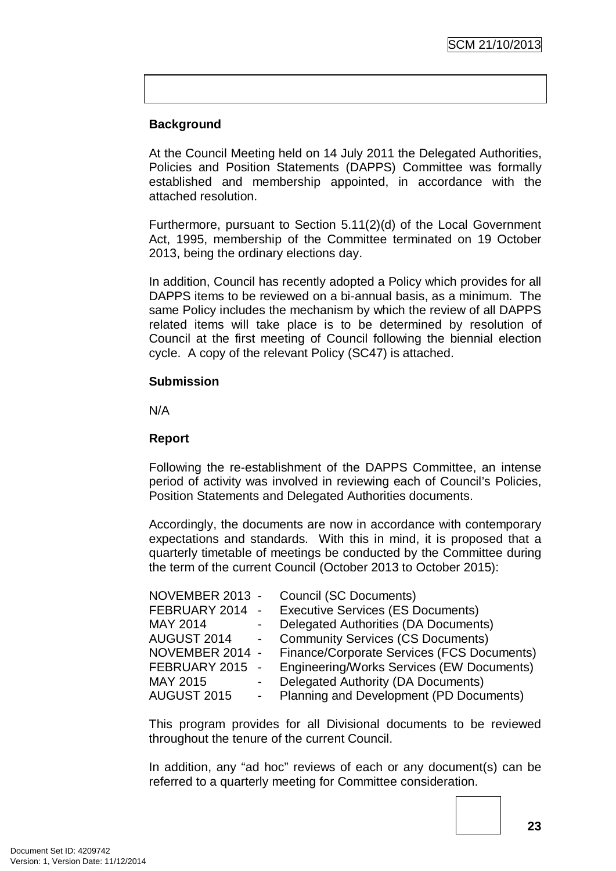# **Background**

At the Council Meeting held on 14 July 2011 the Delegated Authorities, Policies and Position Statements (DAPPS) Committee was formally established and membership appointed, in accordance with the attached resolution.

Furthermore, pursuant to Section 5.11(2)(d) of the Local Government Act, 1995, membership of the Committee terminated on 19 October 2013, being the ordinary elections day.

In addition, Council has recently adopted a Policy which provides for all DAPPS items to be reviewed on a bi-annual basis, as a minimum. The same Policy includes the mechanism by which the review of all DAPPS related items will take place is to be determined by resolution of Council at the first meeting of Council following the biennial election cycle. A copy of the relevant Policy (SC47) is attached.

### **Submission**

N/A

### **Report**

Following the re-establishment of the DAPPS Committee, an intense period of activity was involved in reviewing each of Council's Policies, Position Statements and Delegated Authorities documents.

Accordingly, the documents are now in accordance with contemporary expectations and standards. With this in mind, it is proposed that a quarterly timetable of meetings be conducted by the Committee during the term of the current Council (October 2013 to October 2015):

| NOVEMBER 2013 - |            | <b>Council (SC Documents)</b>              |
|-----------------|------------|--------------------------------------------|
| FEBRUARY 2014   | $\sim$     | <b>Executive Services (ES Documents)</b>   |
| MAY 2014        |            | Delegated Authorities (DA Documents)       |
| AUGUST 2014     | $\sim 100$ | <b>Community Services (CS Documents)</b>   |
| NOVEMBER 2014 - |            | Finance/Corporate Services (FCS Documents) |
| FEBRUARY 2015   | $\sim$     | Engineering/Works Services (EW Documents)  |
| MAY 2015        |            | <b>Delegated Authority (DA Documents)</b>  |
| AUGUST 2015     |            | Planning and Development (PD Documents)    |
|                 |            |                                            |

This program provides for all Divisional documents to be reviewed throughout the tenure of the current Council.

In addition, any "ad hoc" reviews of each or any document(s) can be referred to a quarterly meeting for Committee consideration.

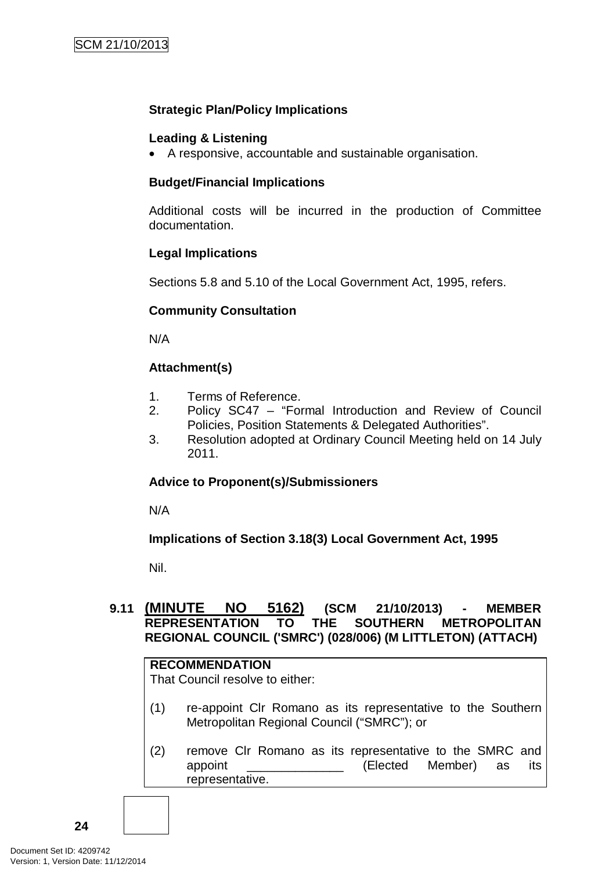### **Strategic Plan/Policy Implications**

### **Leading & Listening**

• A responsive, accountable and sustainable organisation.

#### **Budget/Financial Implications**

Additional costs will be incurred in the production of Committee documentation.

### **Legal Implications**

Sections 5.8 and 5.10 of the Local Government Act, 1995, refers.

### **Community Consultation**

N/A

### **Attachment(s)**

- 1. Terms of Reference.
- 2. Policy SC47 "Formal Introduction and Review of Council Policies, Position Statements & Delegated Authorities".
- 3. Resolution adopted at Ordinary Council Meeting held on 14 July 2011.

### **Advice to Proponent(s)/Submissioners**

N/A

### **Implications of Section 3.18(3) Local Government Act, 1995**

Nil.

# **9.11 (MINUTE NO 5162) (SCM 21/10/2013) - MEMBER REPRESENTATION TO THE SOUTHERN METROPOLITAN REGIONAL COUNCIL ('SMRC') (028/006) (M LITTLETON) (ATTACH)**

### **RECOMMENDATION**

That Council resolve to either:

- (1) re-appoint Clr Romano as its representative to the Southern Metropolitan Regional Council ("SMRC"); or
- (2) remove Clr Romano as its representative to the SMRC and appoint **Elected** Member) as its representative.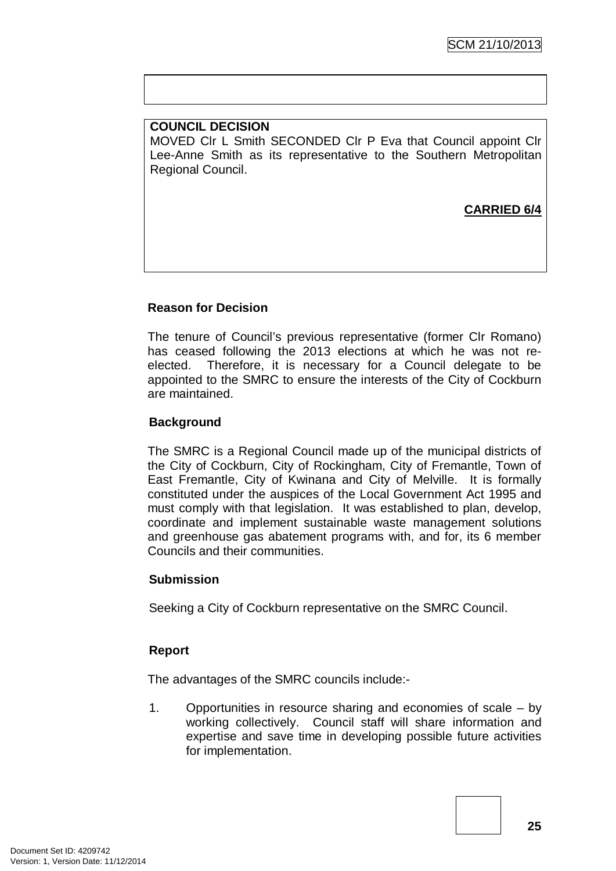### **COUNCIL DECISION** MOVED Clr L Smith SECONDED Clr P Eva that Council appoint Clr Lee-Anne Smith as its representative to the Southern Metropolitan Regional Council.

# **CARRIED 6/4**

### **Reason for Decision**

The tenure of Council's previous representative (former Clr Romano) has ceased following the 2013 elections at which he was not reelected. Therefore, it is necessary for a Council delegate to be appointed to the SMRC to ensure the interests of the City of Cockburn are maintained.

### **Background**

The SMRC is a Regional Council made up of the municipal districts of the City of Cockburn, City of Rockingham, City of Fremantle, Town of East Fremantle, City of Kwinana and City of Melville. It is formally constituted under the auspices of the Local Government Act 1995 and must comply with that legislation. It was established to plan, develop, coordinate and implement sustainable waste management solutions and greenhouse gas abatement programs with, and for, its 6 member Councils and their communities.

#### **Submission**

Seeking a City of Cockburn representative on the SMRC Council.

### **Report**

The advantages of the SMRC councils include:-

1. Opportunities in resource sharing and economies of scale – by working collectively. Council staff will share information and expertise and save time in developing possible future activities for implementation.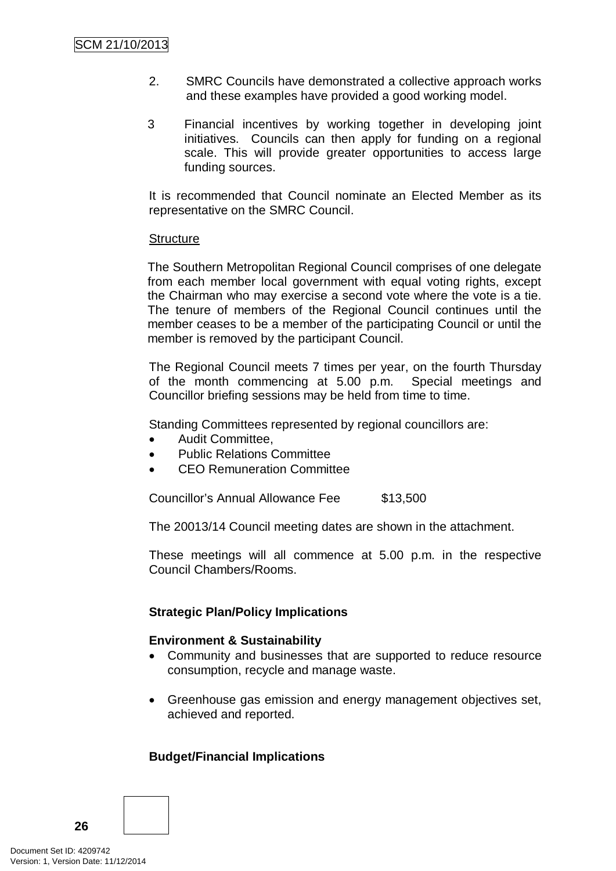- 2. SMRC Councils have demonstrated a collective approach works and these examples have provided a good working model.
- 3 Financial incentives by working together in developing joint initiatives. Councils can then apply for funding on a regional scale. This will provide greater opportunities to access large funding sources.

It is recommended that Council nominate an Elected Member as its representative on the SMRC Council.

#### **Structure**

The Southern Metropolitan Regional Council comprises of one delegate from each member local government with equal voting rights, except the Chairman who may exercise a second vote where the vote is a tie. The tenure of members of the Regional Council continues until the member ceases to be a member of the participating Council or until the member is removed by the participant Council.

The Regional Council meets 7 times per year, on the fourth Thursday of the month commencing at 5.00 p.m. Special meetings and Councillor briefing sessions may be held from time to time.

Standing Committees represented by regional councillors are:

- Audit Committee,
- Public Relations Committee
- CEO Remuneration Committee

Councillor's Annual Allowance Fee \$13,500

The 20013/14 Council meeting dates are shown in the attachment.

These meetings will all commence at 5.00 p.m. in the respective Council Chambers/Rooms.

### **Strategic Plan/Policy Implications**

#### **Environment & Sustainability**

- Community and businesses that are supported to reduce resource consumption, recycle and manage waste.
- Greenhouse gas emission and energy management objectives set, achieved and reported.

### **Budget/Financial Implications**

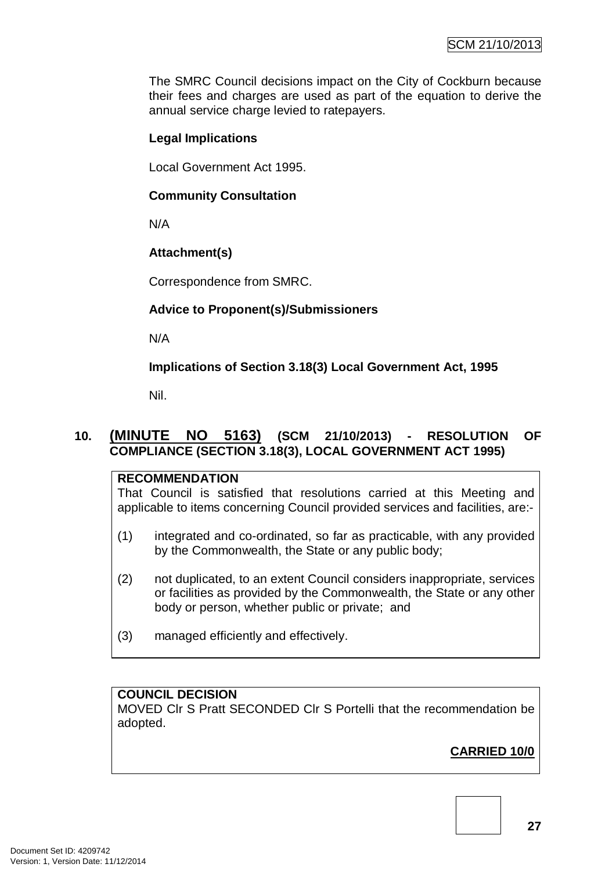The SMRC Council decisions impact on the City of Cockburn because their fees and charges are used as part of the equation to derive the annual service charge levied to ratepayers.

# **Legal Implications**

Local Government Act 1995.

### **Community Consultation**

N/A

# **Attachment(s)**

Correspondence from SMRC.

# **Advice to Proponent(s)/Submissioners**

N/A

**Implications of Section 3.18(3) Local Government Act, 1995**

Nil.

# **10. (MINUTE NO 5163) (SCM 21/10/2013) - RESOLUTION OF COMPLIANCE (SECTION 3.18(3), LOCAL GOVERNMENT ACT 1995)**

# **RECOMMENDATION**

That Council is satisfied that resolutions carried at this Meeting and applicable to items concerning Council provided services and facilities, are:-

- (1) integrated and co-ordinated, so far as practicable, with any provided by the Commonwealth, the State or any public body;
- (2) not duplicated, to an extent Council considers inappropriate, services or facilities as provided by the Commonwealth, the State or any other body or person, whether public or private; and
- (3) managed efficiently and effectively.

# **COUNCIL DECISION**

MOVED Clr S Pratt SECONDED Clr S Portelli that the recommendation be adopted.

# **CARRIED 10/0**